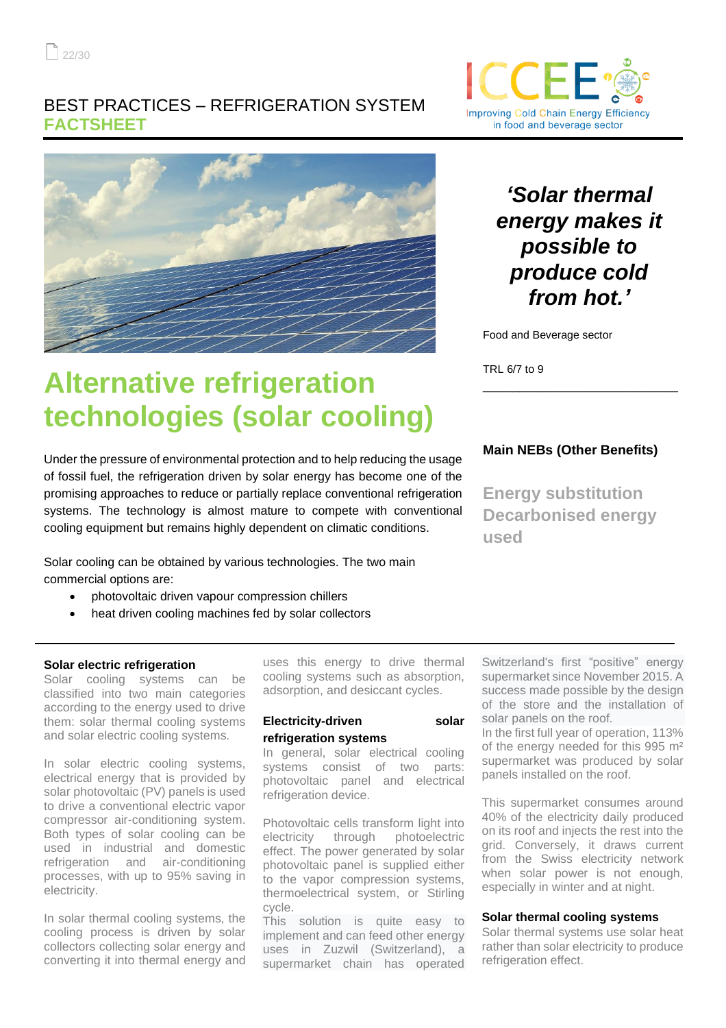### BEST PRACTICES – REFRIGERATION SYSTEM **FACTSHEET**



# **Alternative refrigeration technologies (solar cooling)**

Under the pressure of environmental protection and to help reducing the usage of fossil fuel, the refrigeration driven by solar energy has become one of the promising approaches to reduce or partially replace conventional refrigeration systems. The technology is almost mature to compete with conventional cooling equipment but remains highly dependent on climatic conditions.

Solar cooling can be obtained by various technologies. The two main commercial options are:

- photovoltaic driven vapour compression chillers
- heat driven cooling machines fed by solar collectors

### **Solar electric refrigeration**

Solar cooling systems can be classified into two main categories according to the energy used to drive them: solar thermal cooling systems and solar electric cooling systems.

In solar electric cooling systems, electrical energy that is provided by solar photovoltaic (PV) panels is used to drive a conventional electric vapor compressor air-conditioning system. Both types of solar cooling can be used in industrial and domestic refrigeration and air-conditioning processes, with up to 95% saving in electricity.

In solar thermal cooling systems, the cooling process is driven by solar collectors collecting solar energy and converting it into thermal energy and uses this energy to drive thermal cooling systems such as absorption, adsorption, and desiccant cycles.

### **Electricity-driven** solar **refrigeration systems**

In general, solar electrical cooling systems consist of two parts: photovoltaic panel and electrical refrigeration device.

Photovoltaic cells transform light into electricity through photoelectric effect. The power generated by solar photovoltaic panel is supplied either to the vapor compression systems, thermoelectrical system, or Stirling cycle.

This solution is quite easy to implement and can feed other energy uses in Zuzwil (Switzerland), a supermarket chain has operated



## *'Solar thermal energy makes it possible to produce cold from hot.'*

Food and Beverage sector

TRL 6/7 to 9

### **Main NEBs (Other Benefits)**

\_\_\_\_\_\_\_\_\_\_\_\_\_\_\_\_\_\_\_\_\_\_\_\_\_\_\_\_\_\_\_\_

**Energy substitution Decarbonised energy used**

Switzerland's first "positive" energy supermarket since November 2015. A success made possible by the design of the store and the installation of solar panels on the roof.

In the first full year of operation, 113% of the energy needed for this 995 m² supermarket was produced by solar panels installed on the roof.

This supermarket consumes around 40% of the electricity daily produced on its roof and injects the rest into the grid. Conversely, it draws current from the Swiss electricity network when solar power is not enough, especially in winter and at night.

#### **Solar thermal cooling systems**

Solar thermal systems use solar heat rather than solar electricity to produce refrigeration effect.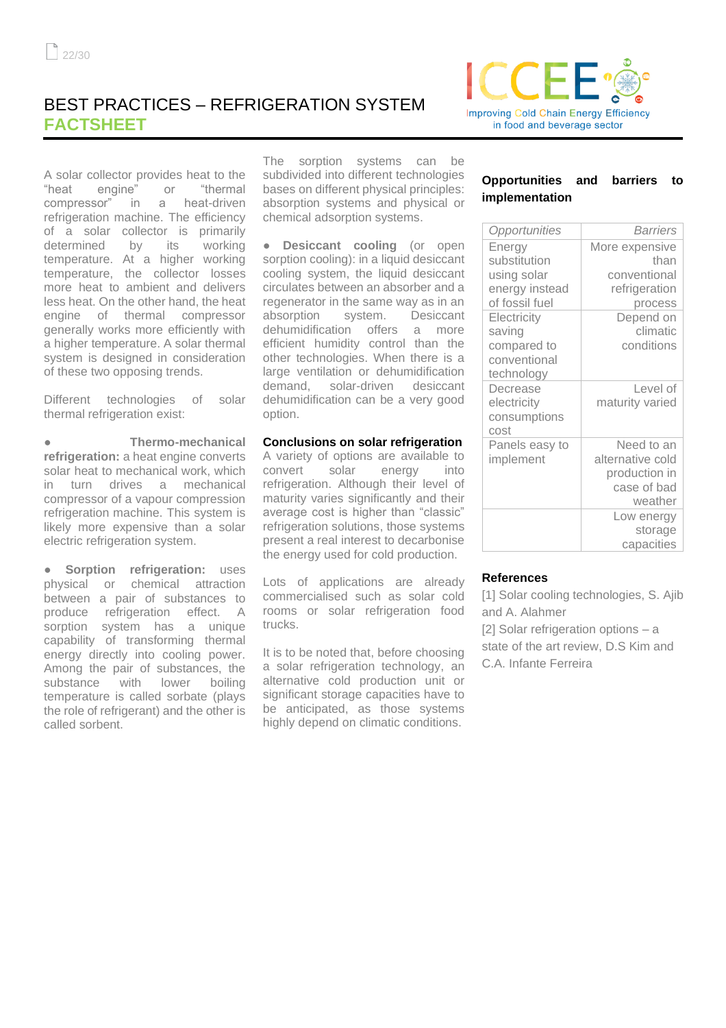### BEST PRACTICES – REFRIGERATION SYSTEM **FACTSHEET**

A solar collector provides heat to the "heat engine" or "thermal compressor" in a heat-driven refrigeration machine. The efficiency of a solar collector is primarily determined by its working temperature. At a higher working temperature, the collector losses more heat to ambient and delivers less heat. On the other hand, the heat engine of thermal compressor generally works more efficiently with a higher temperature. A solar thermal system is designed in consideration of these two opposing trends.

Different technologies of solar thermal refrigeration exist:

● **Thermo-mechanical refrigeration:** a heat engine converts solar heat to mechanical work, which in turn drives a mechanical compressor of a vapour compression refrigeration machine. This system is likely more expensive than a solar electric refrigeration system.

**Sorption refrigeration:** uses physical or chemical attraction between a pair of substances to produce refrigeration effect. A sorption system has a unique capability of transforming thermal energy directly into cooling power. Among the pair of substances, the substance with lower boiling temperature is called sorbate (plays the role of refrigerant) and the other is called sorbent.

The sorption systems can be subdivided into different technologies bases on different physical principles: absorption systems and physical or chemical adsorption systems.

**Desiccant cooling** (or open sorption cooling): in a liquid desiccant cooling system, the liquid desiccant circulates between an absorber and a regenerator in the same way as in an absorption system. Desiccant dehumidification offers a more efficient humidity control than the other technologies. When there is a large ventilation or dehumidification demand, solar-driven desiccant dehumidification can be a very good option.

### **Conclusions on solar refrigeration**

A variety of options are available to convert solar energy into refrigeration. Although their level of maturity varies significantly and their average cost is higher than "classic" refrigeration solutions, those systems present a real interest to decarbonise the energy used for cold production.

Lots of applications are already commercialised such as solar cold rooms or solar refrigeration food trucks.

It is to be noted that, before choosing a solar refrigeration technology, an alternative cold production unit or significant storage capacities have to be anticipated, as those systems highly depend on climatic conditions.



| Opportunities  | <b>Barriers</b>  |
|----------------|------------------|
| Energy         | More expensive   |
| substitution   | than             |
| using solar    | conventional     |
| energy instead | refrigeration    |
| of fossil fuel | process          |
| Electricity    | Depend on        |
| saving         | climatic         |
| compared to    | conditions       |
| conventional   |                  |
| technology     |                  |
| Decrease       | Level of         |
| electricity    | maturity varied  |
| consumptions   |                  |
| cost           |                  |
| Panels easy to | Need to an       |
| implement      | alternative cold |
|                | production in    |
|                | case of bad      |
|                | weather          |
|                | Low energy       |
|                | storage          |
|                | capacities       |

### **References**

[1] Solar cooling technologies, S. Ajib and A. Alahmer

[2] Solar refrigeration options – a state of the art review, D.S Kim and C.A. Infante Ferreira